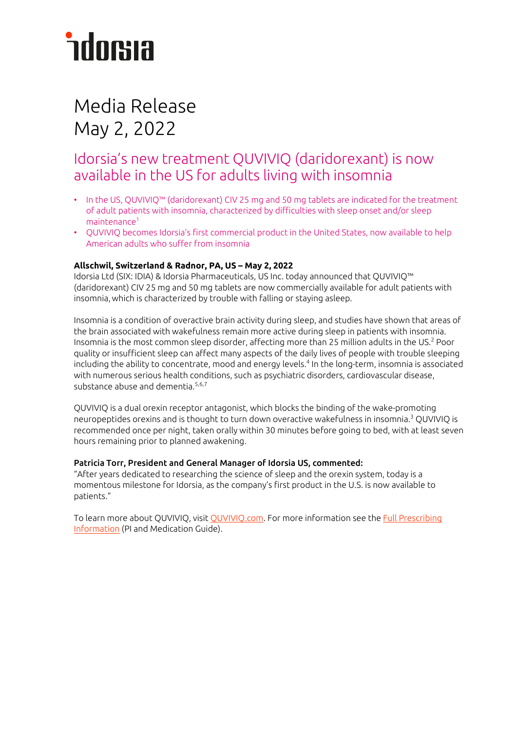# *<u>ndorsia</u>*

### Media Release May 2, 2022

### Idorsia's new treatment QUVIVIQ (daridorexant) is now available in the US for adults living with insomnia

- In the US, QUVIVIQ™ (daridorexant) CIV 25 mg and 50 mg tablets are indicated for the treatment of adult patients with insomnia, characterized by difficulties with sleep onset and/or sleep maintenance<sup>1</sup>
- QUVIVIQ becomes Idorsia's first commercial product in the United States, now available to help American adults who suffer from insomnia

#### **Allschwil, Switzerland & Radnor, PA, US – May 2, 2022**

Idorsia Ltd (SIX: IDIA) & Idorsia Pharmaceuticals, US Inc. today announced that QUVIVIQ™ (daridorexant) CIV 25 mg and 50 mg tablets are now commercially available for adult patients with insomnia,which is characterized by trouble with falling or staying asleep.

Insomnia is a condition of overactive brain activity during sleep, and studies have shown that areas of the brain associated with wakefulness remain more active during sleep in patients with insomnia. Insomnia is the most common sleep disorder, affecting more than 25 million adults in the US.<sup>2</sup> Poor quality or insufficient sleep can affect many aspects of the daily lives of people with trouble sleeping including the ability to concentrate, mood and energy levels.4 In the long-term, insomnia is associated with numerous serious health conditions, such as psychiatric disorders, cardiovascular disease, substance abuse and dementia. 5,6,7

QUVIVIQ is a dual orexin receptor antagonist, which blocks the binding of the wake-promoting neuropeptides orexins and is thought to turn down overactive wakefulness in insomnia. <sup>3</sup> QUVIVIQ is recommended once per night, taken orally within 30 minutes before going to bed, with at least seven hours remaining prior to planned awakening.

#### Patricia Torr, President and General Manager of Idorsia US, commented:

"After years dedicated to researching the science of sleep and the orexin system, today is a momentous milestone for Idorsia, as the company's first product in the U.S. is now available to patients."

To learn more about QUVIVIQ, visi[t QUVIVIQ.com.](http://www.quviviq.com/) For more information see the Full Prescribing [Information](https://www.idorsia.us/documents/us/label/Quviviq_PI.pdf) (PI and Medication Guide).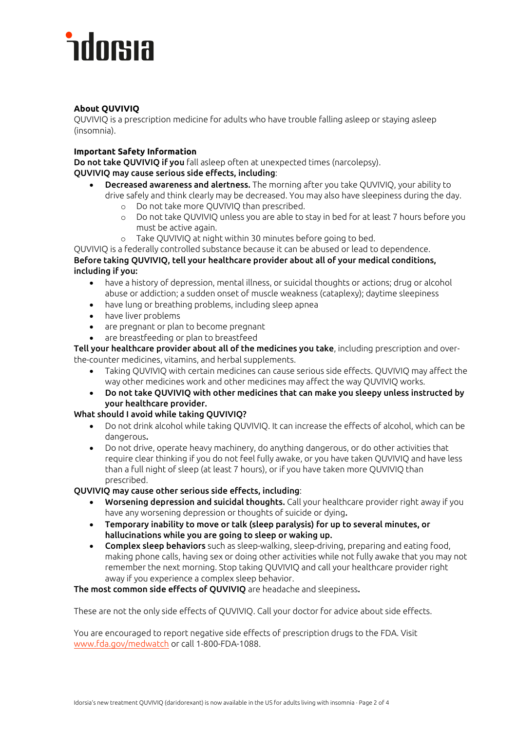# *<u>ndorsia</u>*

#### **About QUVIVIQ**

QUVIVIQ is a prescription medicine for adults who have trouble falling asleep or staying asleep (insomnia).

#### **Important Safety Information**

Do not take QUVIVIQ if you fall asleep often at unexpected times (narcolepsy). QUVIVIQ may cause serious side effects, including:

- Decreased awareness and alertness. The morning after you take QUVIVIQ, your ability to drive safely and think clearly may be decreased. You may also have sleepiness during the day.
	- o Do not take more QUVIVIQ than prescribed.
	- o Do not take QUVIVIQ unless you are able to stay in bed for at least 7 hours before you must be active again.
	- o Take QUVIVIQ at night within 30 minutes before going to bed.

QUVIVIQ is a federally controlled substance because it can be abused or lead to dependence. Before taking QUVIVIQ, tell your healthcare provider about all of your medical conditions, including if you:

- have a history of depression, mental illness, or suicidal thoughts or actions; drug or alcohol abuse or addiction; a sudden onset of muscle weakness (cataplexy); daytime sleepiness
- have lung or breathing problems, including sleep apnea
- have liver problems
- are pregnant or plan to become pregnant
- are breastfeeding or plan to breastfeed

Tell your healthcare provider about all of the medicines you take, including prescription and overthe-counter medicines, vitamins, and herbal supplements.

- Taking QUVIVIQ with certain medicines can cause serious side effects. QUVIVIQ may affect the way other medicines work and other medicines may affect the way QUVIVIQ works.
- Do not take QUVIVIQ with other medicines that can make you sleepy unless instructed by your healthcare provider.

#### What should I avoid while taking QUVIVIQ?

- Do not drink alcohol while taking QUVIVIQ. It can increase the effects of alcohol, which can be dangerous.
- Do not drive, operate heavy machinery, do anything dangerous, or do other activities that require clear thinking if you do not feel fully awake, or you have taken QUVIVIQ and have less than a full night of sleep (at least 7 hours), or if you have taken more QUVIVIQ than prescribed.

#### QUVIVIQ may cause other serious side effects, including:

- Worsening depression and suicidal thoughts. Call your healthcare provider right away if you have any worsening depression or thoughts of suicide or dying.
- Temporary inability to move or talk (sleep paralysis) for up to several minutes, or hallucinations while you are going to sleep or waking up.
- Complex sleep behaviors such as sleep-walking, sleep-driving, preparing and eating food, making phone calls, having sex or doing other activities while not fully awake that you may not remember the next morning. Stop taking QUVIVIQ and call your healthcare provider right away if you experience a complex sleep behavior.

#### The most common side effects of QUVIVIQ are headache and sleepiness.

These are not the only side effects of QUVIVIQ. Call your doctor for advice about side effects.

You are encouraged to report negative side effects of prescription drugs to the FDA. Visit [www.fda.gov/medwatch](http://www.fda.gov/medwatch) or call 1-800-FDA-1088.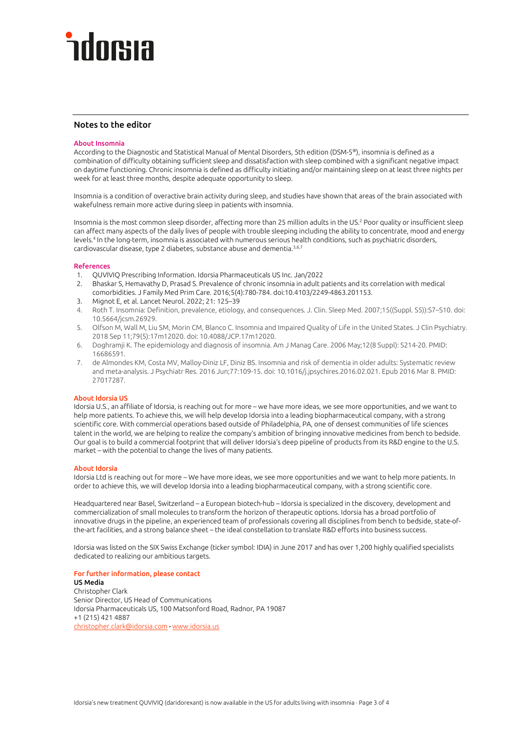# docsia

#### Notes to the editor

#### About Insomnia

According to the Diagnostic and Statistical Manual of Mental Disorders, 5th edition (DSM-5®), insomnia is defined as a combination of difficulty obtaining sufficient sleep and dissatisfaction with sleep combined with a significant negative impact on daytime functioning. Chronic insomnia is defined as difficulty initiating and/or maintaining sleep on at least three nights per week for at least three months, despite adequate opportunity to sleep.

Insomnia is a condition of overactive brain activity during sleep, and studies have shown that areas of the brain associated with wakefulness remain more active during sleep in patients with insomnia.

Insomnia is the most common sleep disorder, affecting more than 25 million adults in the US.<sup>2</sup> Poor quality or insufficient sleep can affect many aspects of the daily lives of people with trouble sleeping including the ability to concentrate, mood and energy levels.4 In the long-term, insomnia is associated with numerous serious health conditions, such as psychiatric disorders, cardiovascular disease, type 2 diabetes, substance abuse and dementia.<sup>5,6,7</sup>

#### References

- 1. QUVIVIQ Prescribing Information. Idorsia Pharmaceuticals US Inc. Jan/2022
- 2. Bhaskar S, Hemavathy D, Prasad S. Prevalence of chronic insomnia in adult patients and its correlation with medical comorbidities. J Family Med Prim Care. 2016;5(4):780-784. doi:10.4103/2249-4863.201153.
- 3. Mignot E, et al. Lancet Neurol. 2022; 21: 125–39
- 4. Roth T. Insomnia: Definition, prevalence, etiology, and consequences. J. Clin. Sleep Med. 2007;15((Suppl. S5)):S7–S10. doi: 10.5664/jcsm.26929.
- 5. Olfson M, Wall M, Liu SM, Morin CM, Blanco C. Insomnia and Impaired Quality of Life in the United States. J Clin Psychiatry. 2018 Sep 11;79(5):17m12020. doi: 10.4088/JCP.17m12020.
- 6. Doghramji K. The epidemiology and diagnosis of insomnia. Am J Manag Care. 2006 May;12(8 Suppl): S214-20. PMID: 16686591.
- 7. de Almondes KM, Costa MV, Malloy-Diniz LF, Diniz BS. Insomnia and risk of dementia in older adults: Systematic review and meta-analysis. J Psychiatr Res. 2016 Jun;77:109-15. doi: 10.1016/j.jpsychires.2016.02.021. Epub 2016 Mar 8. PMID: 27017287.

#### About Idorsia US

Idorsia U.S., an affiliate of Idorsia, is reaching out for more – we have more ideas, we see more opportunities, and we want to help more patients. To achieve this, we will help develop Idorsia into a leading biopharmaceutical company, with a strong scientific core. With commercial operations based outside of Philadelphia, PA, one of densest communities of life sciences talent in the world, we are helping to realize the company's ambition of bringing innovative medicines from bench to bedside. Our goal is to build a commercial footprint that will deliver Idorsia's deep pipeline of products from its R&D engine to the U.S. market – with the potential to change the lives of many patients.

#### About Idorsia

Idorsia Ltd is reaching out for more – We have more ideas, we see more opportunities and we want to help more patients. In order to achieve this, we will develop Idorsia into a leading biopharmaceutical company, with a strong scientific core.

Headquartered near Basel, Switzerland – a European biotech-hub – Idorsia is specialized in the discovery, development and commercialization of small molecules to transform the horizon of therapeutic options. Idorsia has a broad portfolio of innovative drugs in the pipeline, an experienced team of professionals covering all disciplines from bench to bedside, state-ofthe-art facilities, and a strong balance sheet – the ideal constellation to translate R&D efforts into business success.

Idorsia was listed on the SIX Swiss Exchange (ticker symbol: IDIA) in June 2017 and has over 1,200 highly qualified specialists dedicated to realizing our ambitious targets.

For further information, please contact US Media Christopher Clark Senior Director, US Head of Communications Idorsia Pharmaceuticals US, 100 Matsonford Road, Radnor, PA 19087 +1 (215) 421 4887 [christopher.clark@idorsia.com](mailto:christopher.clark@idorsia.com) ∙ [www.idorsia.us](https://www.idorsia.us/)